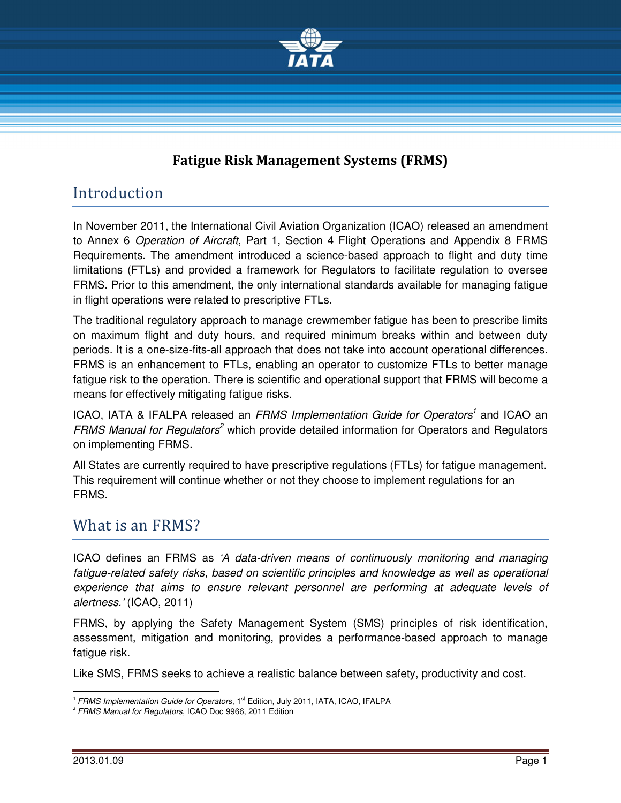

### Fatigue Risk Management Systems (FRMS)

## Introduction

In November 2011, the International Civil Aviation Organization (ICAO) released an amendment to Annex 6 Operation of Aircraft, Part 1, Section 4 Flight Operations and Appendix 8 FRMS Requirements. The amendment introduced a science-based approach to flight and duty time limitations (FTLs) and provided a framework for Regulators to facilitate regulation to oversee FRMS. Prior to this amendment, the only international standards available for managing fatigue in flight operations were related to prescriptive FTLs.

The traditional regulatory approach to manage crewmember fatigue has been to prescribe limits on maximum flight and duty hours, and required minimum breaks within and between duty periods. It is a one-size-fits-all approach that does not take into account operational differences. FRMS is an enhancement to FTLs, enabling an operator to customize FTLs to better manage fatigue risk to the operation. There is scientific and operational support that FRMS will become a means for effectively mitigating fatigue risks.

ICAO, IATA & IFALPA released an FRMS Implementation Guide for Operators<sup>1</sup> and ICAO an FRMS Manual for Regulators<sup>2</sup> which provide detailed information for Operators and Regulators on implementing FRMS.

All States are currently required to have prescriptive regulations (FTLs) for fatigue management. This requirement will continue whether or not they choose to implement regulations for an FRMS.

## What is an FRMS?

ICAO defines an FRMS as 'A data-driven means of continuously monitoring and managing fatigue-related safety risks, based on scientific principles and knowledge as well as operational experience that aims to ensure relevant personnel are performing at adequate levels of alertness.' (ICAO, 2011)

FRMS, by applying the Safety Management System (SMS) principles of risk identification, assessment, mitigation and monitoring, provides a performance-based approach to manage fatigue risk.

Like SMS, FRMS seeks to achieve a realistic balance between safety, productivity and cost.

 $\overline{a}$ 

<sup>&</sup>lt;sup>1</sup> FRMS Implementation Guide for Operators, 1<sup>st</sup> Edition, July 2011, IATA, ICAO, IFALPA

<sup>&</sup>lt;sup>2</sup> FRMS Manual for Regulators, ICAO Doc 9966, 2011 Edition